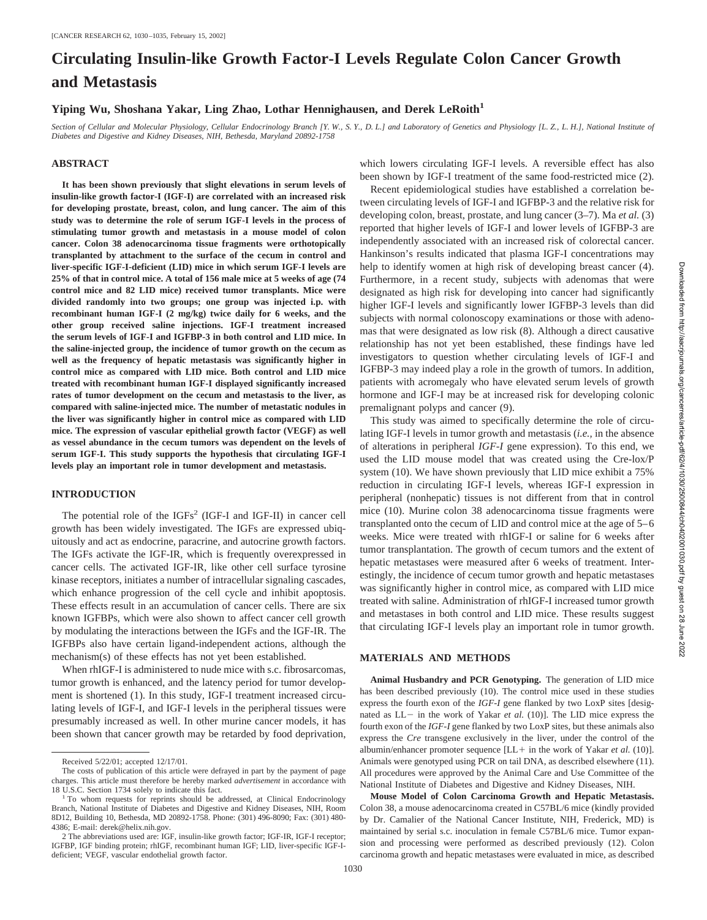# **Circulating Insulin-like Growth Factor-I Levels Regulate Colon Cancer Growth and Metastasis**

# **Yiping Wu, Shoshana Yakar, Ling Zhao, Lothar Hennighausen, and Derek LeRoith1**

*Section of Cellular and Molecular Physiology, Cellular Endocrinology Branch [Y. W., S. Y., D. L.] and Laboratory of Genetics and Physiology [L. Z., L. H.], National Institute of Diabetes and Digestive and Kidney Diseases, NIH, Bethesda, Maryland 20892-1758*

## **ABSTRACT**

**It has been shown previously that slight elevations in serum levels of insulin-like growth factor-I (IGF-I) are correlated with an increased risk for developing prostate, breast, colon, and lung cancer. The aim of this study was to determine the role of serum IGF-I levels in the process of stimulating tumor growth and metastasis in a mouse model of colon cancer. Colon 38 adenocarcinoma tissue fragments were orthotopically transplanted by attachment to the surface of the cecum in control and liver-specific IGF-I-deficient (LID) mice in which serum IGF-I levels are 25% of that in control mice. A total of 156 male mice at 5 weeks of age (74 control mice and 82 LID mice) received tumor transplants. Mice were divided randomly into two groups; one group was injected i.p. with recombinant human IGF-I (2 mg/kg) twice daily for 6 weeks, and the other group received saline injections. IGF-I treatment increased the serum levels of IGF-I and IGFBP-3 in both control and LID mice. In the saline-injected group, the incidence of tumor growth on the cecum as well as the frequency of hepatic metastasis was significantly higher in control mice as compared with LID mice. Both control and LID mice treated with recombinant human IGF-I displayed significantly increased rates of tumor development on the cecum and metastasis to the liver, as compared with saline-injected mice. The number of metastatic nodules in the liver was significantly higher in control mice as compared with LID mice. The expression of vascular epithelial growth factor (VEGF) as well as vessel abundance in the cecum tumors was dependent on the levels of serum IGF-I. This study supports the hypothesis that circulating IGF-I levels play an important role in tumor development and metastasis.**

#### **INTRODUCTION**

The potential role of the IGFs<sup>2</sup> (IGF-I and IGF-II) in cancer cell growth has been widely investigated. The IGFs are expressed ubiquitously and act as endocrine, paracrine, and autocrine growth factors. The IGFs activate the IGF-IR, which is frequently overexpressed in cancer cells. The activated IGF-IR, like other cell surface tyrosine kinase receptors, initiates a number of intracellular signaling cascades, which enhance progression of the cell cycle and inhibit apoptosis. These effects result in an accumulation of cancer cells. There are six known IGFBPs, which were also shown to affect cancer cell growth by modulating the interactions between the IGFs and the IGF-IR. The IGFBPs also have certain ligand-independent actions, although the mechanism(s) of these effects has not yet been established.

When rhIGF-I is administered to nude mice with s.c. fibrosarcomas, tumor growth is enhanced, and the latency period for tumor development is shortened (1). In this study, IGF-I treatment increased circulating levels of IGF-I, and IGF-I levels in the peripheral tissues were presumably increased as well. In other murine cancer models, it has been shown that cancer growth may be retarded by food deprivation, which lowers circulating IGF-I levels. A reversible effect has also been shown by IGF-I treatment of the same food-restricted mice (2).

Recent epidemiological studies have established a correlation between circulating levels of IGF-I and IGFBP-3 and the relative risk for developing colon, breast, prostate, and lung cancer (3–7). Ma *et al.* (3) reported that higher levels of IGF-I and lower levels of IGFBP-3 are independently associated with an increased risk of colorectal cancer. Hankinson's results indicated that plasma IGF-I concentrations may help to identify women at high risk of developing breast cancer (4). Furthermore, in a recent study, subjects with adenomas that were designated as high risk for developing into cancer had significantly higher IGF-I levels and significantly lower IGFBP-3 levels than did subjects with normal colonoscopy examinations or those with adenomas that were designated as low risk (8). Although a direct causative relationship has not yet been established, these findings have led investigators to question whether circulating levels of IGF-I and IGFBP-3 may indeed play a role in the growth of tumors. In addition, patients with acromegaly who have elevated serum levels of growth hormone and IGF-I may be at increased risk for developing colonic premalignant polyps and cancer (9).

This study was aimed to specifically determine the role of circulating IGF-I levels in tumor growth and metastasis (*i.e.,* in the absence of alterations in peripheral *IGF-I* gene expression). To this end, we used the LID mouse model that was created using the Cre-lox/P system (10). We have shown previously that LID mice exhibit a 75% reduction in circulating IGF-I levels, whereas IGF-I expression in peripheral (nonhepatic) tissues is not different from that in control mice (10). Murine colon 38 adenocarcinoma tissue fragments were transplanted onto the cecum of LID and control mice at the age of 5–6 weeks. Mice were treated with rhIGF-I or saline for 6 weeks after tumor transplantation. The growth of cecum tumors and the extent of hepatic metastases were measured after 6 weeks of treatment. Interestingly, the incidence of cecum tumor growth and hepatic metastases was significantly higher in control mice, as compared with LID mice treated with saline. Administration of rhIGF-I increased tumor growth and metastases in both control and LID mice. These results suggest that circulating IGF-I levels play an important role in tumor growth.

## **MATERIALS AND METHODS**

**Animal Husbandry and PCR Genotyping.** The generation of LID mice has been described previously (10). The control mice used in these studies express the fourth exon of the *IGF-I* gene flanked by two LoxP sites [designated as  $LL$  in the work of Yakar *et al.* (10)]. The LID mice express the fourth exon of the *IGF-I* gene flanked by two LoxP sites, but these animals also express the *Cre* transgene exclusively in the liver, under the control of the albumin/enhancer promoter sequence [LL+ in the work of Yakar *et al.* (10)]. Animals were genotyped using PCR on tail DNA, as described elsewhere (11). All procedures were approved by the Animal Care and Use Committee of the National Institute of Diabetes and Digestive and Kidney Diseases, NIH.

**Mouse Model of Colon Carcinoma Growth and Hepatic Metastasis.** Colon 38, a mouse adenocarcinoma created in C57BL/6 mice (kindly provided by Dr. Camalier of the National Cancer Institute, NIH, Frederick, MD) is maintained by serial s.c. inoculation in female C57BL/6 mice. Tumor expansion and processing were performed as described previously (12). Colon carcinoma growth and hepatic metastases were evaluated in mice, as described

Received 5/22/01; accepted 12/17/01.

The costs of publication of this article were defrayed in part by the payment of page charges. This article must therefore be hereby marked *advertisement* in accordance with 18 U.S.C. Section 1734 solely to indicate this fact.<br><sup>1</sup> To whom requests for reprints should be addressed, at Clinical Endocrinology

Branch, National Institute of Diabetes and Digestive and Kidney Diseases, NIH, Room 8D12, Building 10, Bethesda, MD 20892-1758. Phone: (301) 496-8090; Fax: (301) 480- 4386; E-mail: derek@helix.nih.gov.

<sup>2</sup> The abbreviations used are: IGF, insulin-like growth factor; IGF-IR, IGF-I receptor; IGFBP, IGF binding protein; rhIGF, recombinant human IGF; LID, liver-specific IGF-Ideficient; VEGF, vascular endothelial growth factor.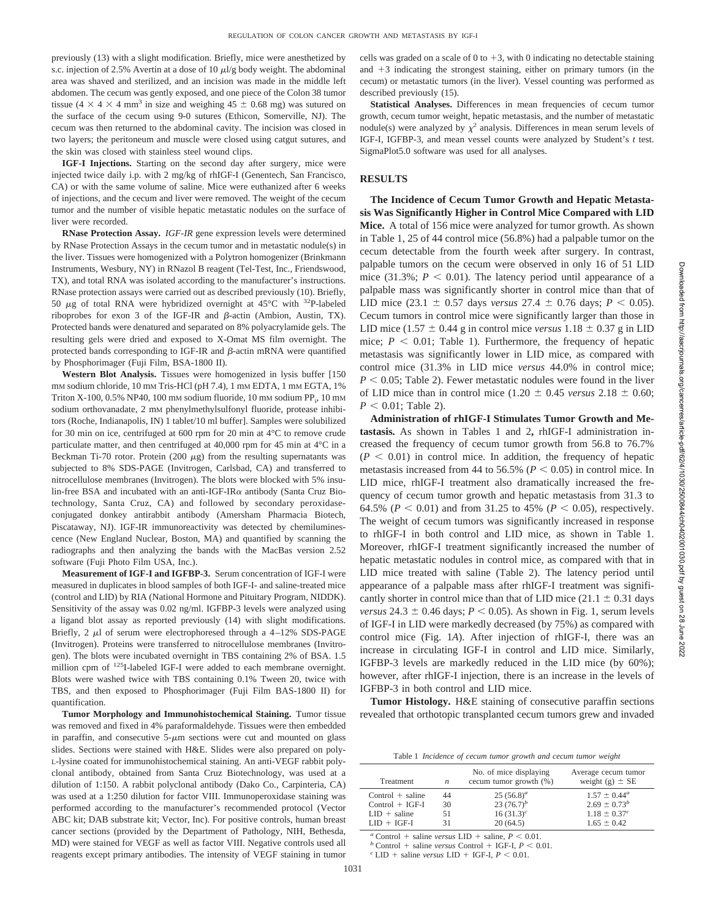previously (13) with a slight modification. Briefly, mice were anesthetized by s.c. injection of 2.5% Avertin at a dose of 10  $\mu$ l/g body weight. The abdominal area was shaved and sterilized, and an incision was made in the middle left abdomen. The cecum was gently exposed, and one piece of the Colon 38 tumor tissue (4  $\times$  4  $\times$  4 mm<sup>3</sup> in size and weighing 45  $\pm$  0.68 mg) was sutured on the surface of the cecum using 9-0 sutures (Ethicon, Somerville, NJ). The cecum was then returned to the abdominal cavity. The incision was closed in two layers; the peritoneum and muscle were closed using catgut sutures, and the skin was closed with stainless steel wound clips.

**IGF-I Injections.** Starting on the second day after surgery, mice were injected twice daily i.p. with 2 mg/kg of rhIGF-I (Genentech, San Francisco, CA) or with the same volume of saline. Mice were euthanized after 6 weeks of injections, and the cecum and liver were removed. The weight of the cecum tumor and the number of visible hepatic metastatic nodules on the surface of liver were recorded.

**RNase Protection Assay.** *IGF-IR* gene expression levels were determined by RNase Protection Assays in the cecum tumor and in metastatic nodule(s) in the liver. Tissues were homogenized with a Polytron homogenizer (Brinkmann Instruments, Wesbury, NY) in RNazol B reagent (Tel-Test, Inc., Friendswood, TX), and total RNA was isolated according to the manufacturer's instructions. RNase protection assays were carried out as described previously (10). Briefly, 50  $\mu$ g of total RNA were hybridized overnight at 45°C with <sup>32</sup>P-labeled riboprobes for exon 3 of the IGF-IR and  $\beta$ -actin (Ambion, Austin, TX). Protected bands were denatured and separated on 8% polyacrylamide gels. The resulting gels were dried and exposed to X-Omat MS film overnight. The protected bands corresponding to IGF-IR and  $\beta$ -actin mRNA were quantified by Phosphorimager (Fuji Film, BSA-1800 II).

**Western Blot Analysis.** Tissues were homogenized in lysis buffer [150 mM sodium chloride, 10 mM Tris-HCl (pH 7.4), 1 mM EDTA, 1 mM EGTA, 1% Triton X-100, 0.5% NP40, 100 mm sodium fluoride, 10 mm sodium PP<sub>i</sub>, 10 mm sodium orthovanadate, 2 mm phenylmethylsulfonyl fluoride, protease inhibitors (Roche, Indianapolis, IN) 1 tablet/10 ml buffer]. Samples were solubilized for 30 min on ice, centrifuged at 600 rpm for 20 min at 4°C to remove crude particulate matter, and then centrifuged at 40,000 rpm for 45 min at 4°C in a Beckman Ti-70 rotor. Protein (200  $\mu$ g) from the resulting supernatants was subjected to 8% SDS-PAGE (Invitrogen, Carlsbad, CA) and transferred to nitrocellulose membranes (Invitrogen). The blots were blocked with 5% insulin-free BSA and incubated with an anti-IGF-IR $\alpha$  antibody (Santa Cruz Biotechnology, Santa Cruz, CA) and followed by secondary peroxidaseconjugated donkey antirabbit antibody (Amersham Pharmacia Biotech, Piscataway, NJ). IGF-IR immunoreactivity was detected by chemiluminescence (New England Nuclear, Boston, MA) and quantified by scanning the radiographs and then analyzing the bands with the MacBas version 2.52 software (Fuji Photo Film USA, Inc.).

**Measurement of IGF-I and IGFBP-3.** Serum concentration of IGF-I were measured in duplicates in blood samples of both IGF-I- and saline-treated mice (control and LID) by RIA (National Hormone and Pituitary Program, NIDDK). Sensitivity of the assay was 0.02 ng/ml. IGFBP-3 levels were analyzed using a ligand blot assay as reported previously (14) with slight modifications. Briefly, 2  $\mu$ l of serum were electrophoresed through a 4–12% SDS-PAGE (Invitrogen). Proteins were transferred to nitrocellulose membranes (Invitrogen). The blots were incubated overnight in TBS containing 2% of BSA. 1.5 million cpm of <sup>125</sup>I-labeled IGF-I were added to each membrane overnight. Blots were washed twice with TBS containing 0.1% Tween 20, twice with TBS, and then exposed to Phosphorimager (Fuji Film BAS-1800 II) for quantification.

**Tumor Morphology and Immunohistochemical Staining.** Tumor tissue was removed and fixed in 4% paraformaldehyde. Tissues were then embedded in paraffin, and consecutive  $5-\mu m$  sections were cut and mounted on glass slides. Sections were stained with H&E. Slides were also prepared on poly-L-lysine coated for immunohistochemical staining. An anti-VEGF rabbit polyclonal antibody, obtained from Santa Cruz Biotechnology, was used at a dilution of 1:150. A rabbit polyclonal antibody (Dako Co., Carpinteria, CA) was used at a 1:250 dilution for factor VIII. Immunoperoxidase staining was performed according to the manufacturer's recommended protocol (Vector ABC kit; DAB substrate kit; Vector, Inc). For positive controls, human breast cancer sections (provided by the Department of Pathology, NIH, Bethesda, MD) were stained for VEGF as well as factor VIII. Negative controls used all reagents except primary antibodies. The intensity of VEGF staining in tumor

cells was graded on a scale of 0 to  $+3$ , with 0 indicating no detectable staining and  $+3$  indicating the strongest staining, either on primary tumors (in the cecum) or metastatic tumors (in the liver). Vessel counting was performed as described previously (15).

Statistical Analyses. Differences in mean frequencies of cecum tumor growth, cecum tumor weight, hepatic metastasis, and the number of metastatic nodule(s) were analyzed by  $\chi^2$  analysis. Differences in mean serum levels of IGF-I, IGFBP-3, and mean vessel counts were analyzed by Student's *t* test. SigmaPlot5.0 software was used for all analyses.

## **RESULTS**

**The Incidence of Cecum Tumor Growth and Hepatic Metastasis Was Significantly Higher in Control Mice Compared with LID Mice.** A total of 156 mice were analyzed for tumor growth. As shown in Table 1, 25 of 44 control mice (56.8%) had a palpable tumor on the cecum detectable from the fourth week after surgery. In contrast, palpable tumors on the cecum were observed in only 16 of 51 LID mice (31.3%;  $P < 0.01$ ). The latency period until appearance of a palpable mass was significantly shorter in control mice than that of LID mice (23.1  $\pm$  0.57 days *versus* 27.4  $\pm$  0.76 days; *P* < 0.05). Cecum tumors in control mice were significantly larger than those in LID mice (1.57  $\pm$  0.44 g in control mice *versus* 1.18  $\pm$  0.37 g in LID mice;  $P < 0.01$ ; Table 1). Furthermore, the frequency of hepatic metastasis was significantly lower in LID mice, as compared with control mice (31.3% in LID mice *versus* 44.0% in control mice;  $P < 0.05$ ; Table 2). Fewer metastatic nodules were found in the liver of LID mice than in control mice  $(1.20 \pm 0.45 \text{ versus } 2.18 \pm 0.60;$  $P < 0.01$ ; Table 2).

**Administration of rhIGF-I Stimulates Tumor Growth and Metastasis.** As shown in Tables 1 and 2**,** rhIGF-I administration increased the frequency of cecum tumor growth from 56.8 to 76.7%  $(P \leq 0.01)$  in control mice. In addition, the frequency of hepatic metastasis increased from 44 to 56.5% ( $P < 0.05$ ) in control mice. In LID mice, rhIGF-I treatment also dramatically increased the frequency of cecum tumor growth and hepatic metastasis from 31.3 to 64.5% ( $P < 0.01$ ) and from 31.25 to 45% ( $P < 0.05$ ), respectively. The weight of cecum tumors was significantly increased in response to rhIGF-I in both control and LID mice, as shown in Table 1. Moreover, rhIGF-I treatment significantly increased the number of hepatic metastatic nodules in control mice, as compared with that in LID mice treated with saline (Table 2). The latency period until appearance of a palpable mass after rhIGF-I treatment was significantly shorter in control mice than that of LID mice (21.1  $\pm$  0.31 days *versus*  $24.3 \pm 0.46$  days;  $P < 0.05$ ). As shown in Fig. 1, serum levels of IGF-I in LID were markedly decreased (by 75%) as compared with control mice (Fig. 1*A*). After injection of rhIGF-I, there was an increase in circulating IGF-I in control and LID mice. Similarly, IGFBP-3 levels are markedly reduced in the LID mice (by 60%); however, after rhIGF-I injection, there is an increase in the levels of IGFBP-3 in both control and LID mice.

**Tumor Histology.** H&E staining of consecutive paraffin sections revealed that orthotopic transplanted cecum tumors grew and invaded

Table 1 *Incidence of cecum tumor growth and cecum tumor weight*

| Treatment                                                        | n              | No. of mice displaying<br>cecum tumor growth (%) | Average cecum tumor<br>weight (g) $\pm$ SE                        |
|------------------------------------------------------------------|----------------|--------------------------------------------------|-------------------------------------------------------------------|
| $Control + saline$<br>$Control + IGF-I$<br>$LID + \text{saline}$ | 44<br>30<br>51 | $25(56.8)^a$<br>23 $(76.7)^b$<br>$16(31.3)^c$    | $1.57 \pm 0.44^{\circ}$<br>$2.69 \pm 0.73^b$<br>$1.18 \pm 0.37^c$ |
| $LID + IGF-I$                                                    | 31             | 20(64.5)                                         | $1.65 \pm 0.42$                                                   |

 $a$  Control + saline *versus* LID +  $\sigma^b$  Control + saline *versus* LID + saline, *P* < 0.01.<br>  $\sigma^b$  Control + saline *versus* Control + IGF-I, *P* < 0.01.<br>  $\sigma^c$  LID + saline *versus* LID + IGF-I, *P* < 0.01.

 $+$  saline *versus* LID  $+$  IGF-I,  $P < 0.01$ .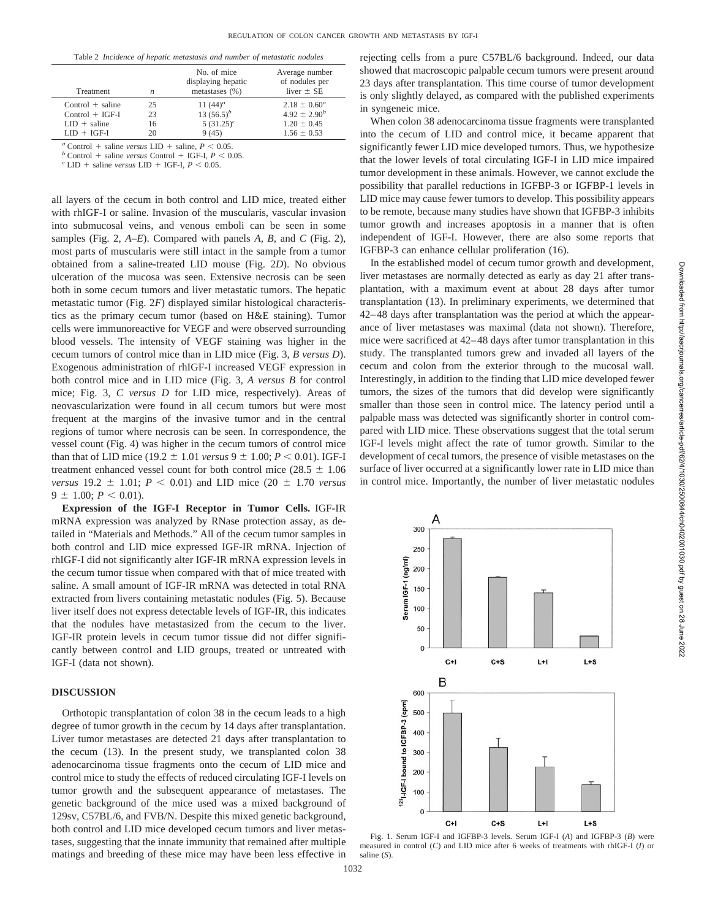|  |  |  |  | Table 2 Incidence of hepatic metastasis and number of metastatic nodules |
|--|--|--|--|--------------------------------------------------------------------------|
|--|--|--|--|--------------------------------------------------------------------------|

| <b>Treatment</b>      | $\boldsymbol{n}$ | No. of mice<br>displaying hepatic<br>metastases $(\% )$ | Average number<br>of nodules per<br>liver $\pm$ SE |
|-----------------------|------------------|---------------------------------------------------------|----------------------------------------------------|
| $Control + saline$    | 25               | 11 $(44)^a$                                             | $2.18 \pm 0.60^a$                                  |
| $Control + IGF-I$     | 23               | 13 $(56.5)^b$                                           | $4.92 \pm 2.90^{b}$                                |
| $LID + \text{saline}$ | 16               | $5(31.25)^c$                                            | $1.20 \pm 0.45$                                    |
| $LID + IGF-I$         | 20               | 9(45)                                                   | $1.56 \pm 0.53$                                    |
|                       |                  |                                                         |                                                    |

 $a$  Control + saline *versus* LID +  $\binom{a}{b}$  Control + saline *versus* LID + saline,  $P < 0.05$ .<br> *b* Control + saline *versus* Control + IGF-I,  $P < 0$ .

 $^b$  Control + saline *versus* Control + IGF-I,  $P < 0.05$ .<br><sup>*c*</sup> LID + saline *versus* LID + IGF-I,  $P < 0.05$ .

all layers of the cecum in both control and LID mice, treated either with rhIGF-I or saline. Invasion of the muscularis, vascular invasion into submucosal veins, and venous emboli can be seen in some samples (Fig. 2, *A–E*). Compared with panels *A, B,* and *C* (Fig. 2), most parts of muscularis were still intact in the sample from a tumor obtained from a saline-treated LID mouse (Fig. 2*D*). No obvious ulceration of the mucosa was seen. Extensive necrosis can be seen both in some cecum tumors and liver metastatic tumors. The hepatic metastatic tumor (Fig. 2*F*) displayed similar histological characteristics as the primary cecum tumor (based on H&E staining). Tumor cells were immunoreactive for VEGF and were observed surrounding blood vessels. The intensity of VEGF staining was higher in the cecum tumors of control mice than in LID mice (Fig. 3, *B versus D*). Exogenous administration of rhIGF-I increased VEGF expression in both control mice and in LID mice (Fig. 3, *A versus B* for control mice; Fig. 3, *C versus D* for LID mice, respectively). Areas of neovascularization were found in all cecum tumors but were most frequent at the margins of the invasive tumor and in the central regions of tumor where necrosis can be seen. In correspondence, the vessel count (Fig. 4) was higher in the cecum tumors of control mice than that of LID mice (19.2  $\pm$  1.01 *versus* 9  $\pm$  1.00; *P* < 0.01). IGF-I treatment enhanced vessel count for both control mice ( $28.5 \pm 1.06$ ) *versus* 19.2  $\pm$  1.01; *P* < 0.01) and LID mice (20  $\pm$  1.70 *versus*  $9 \pm 1.00$ ;  $P < 0.01$ ).

**Expression of the IGF-I Receptor in Tumor Cells.** IGF-IR mRNA expression was analyzed by RNase protection assay, as detailed in "Materials and Methods." All of the cecum tumor samples in both control and LID mice expressed IGF-IR mRNA. Injection of rhIGF-I did not significantly alter IGF-IR mRNA expression levels in the cecum tumor tissue when compared with that of mice treated with saline. A small amount of IGF-IR mRNA was detected in total RNA extracted from livers containing metastatic nodules (Fig. 5). Because liver itself does not express detectable levels of IGF-IR, this indicates that the nodules have metastasized from the cecum to the liver. IGF-IR protein levels in cecum tumor tissue did not differ significantly between control and LID groups, treated or untreated with IGF-I (data not shown).

# **DISCUSSION**

Orthotopic transplantation of colon 38 in the cecum leads to a high degree of tumor growth in the cecum by 14 days after transplantation. Liver tumor metastases are detected 21 days after transplantation to the cecum (13). In the present study, we transplanted colon 38 adenocarcinoma tissue fragments onto the cecum of LID mice and control mice to study the effects of reduced circulating IGF-I levels on tumor growth and the subsequent appearance of metastases. The genetic background of the mice used was a mixed background of 129sv, C57BL/6, and FVB/N. Despite this mixed genetic background, both control and LID mice developed cecum tumors and liver metastases, suggesting that the innate immunity that remained after multiple matings and breeding of these mice may have been less effective in rejecting cells from a pure C57BL/6 background. Indeed, our data showed that macroscopic palpable cecum tumors were present around 23 days after transplantation. This time course of tumor development is only slightly delayed, as compared with the published experiments in syngeneic mice.

When colon 38 adenocarcinoma tissue fragments were transplanted into the cecum of LID and control mice, it became apparent that significantly fewer LID mice developed tumors. Thus, we hypothesize that the lower levels of total circulating IGF-I in LID mice impaired tumor development in these animals. However, we cannot exclude the possibility that parallel reductions in IGFBP-3 or IGFBP-1 levels in LID mice may cause fewer tumors to develop. This possibility appears to be remote, because many studies have shown that IGFBP-3 inhibits tumor growth and increases apoptosis in a manner that is often independent of IGF-I. However, there are also some reports that IGFBP-3 can enhance cellular proliferation (16).

In the established model of cecum tumor growth and development, liver metastases are normally detected as early as day 21 after transplantation, with a maximum event at about 28 days after tumor transplantation (13). In preliminary experiments, we determined that 42–48 days after transplantation was the period at which the appearance of liver metastases was maximal (data not shown). Therefore, mice were sacrificed at 42–48 days after tumor transplantation in this study. The transplanted tumors grew and invaded all layers of the cecum and colon from the exterior through to the mucosal wall. Interestingly, in addition to the finding that LID mice developed fewer tumors, the sizes of the tumors that did develop were significantly smaller than those seen in control mice. The latency period until a palpable mass was detected was significantly shorter in control compared with LID mice. These observations suggest that the total serum IGF-I levels might affect the rate of tumor growth. Similar to the development of cecal tumors, the presence of visible metastases on the surface of liver occurred at a significantly lower rate in LID mice than in control mice. Importantly, the number of liver metastatic nodules



Fig. 1. Serum IGF-I and IGFBP-3 levels. Serum IGF-I (*A*) and IGFBP-3 (*B*) were measured in control (*C*) and LID mice after 6 weeks of treatments with rhIGF-I (*I*) or saline (*S*).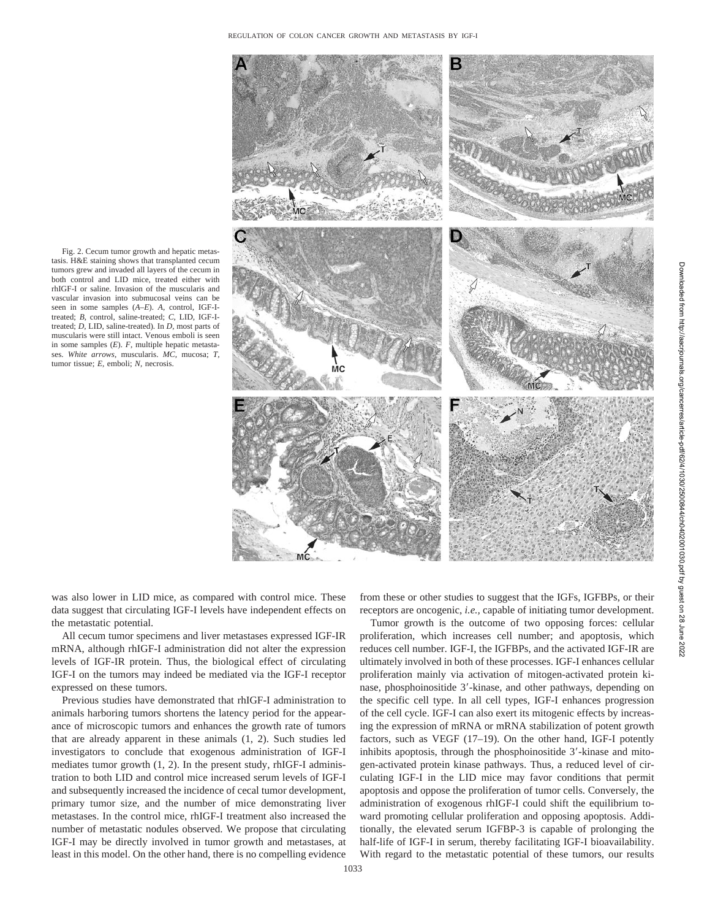Fig. 2. Cecum tumor growth and hepatic metastasis. H&E staining shows that transplanted cecum tumors grew and invaded all layers of the cecum in both control and LID mice, treated either with rhIGF-I or saline. Invasion of the muscularis and vascular invasion into submucosal veins can be seen in some samples (*A–E*). *A,* control, IGF-Itreated; *B,* control, saline-treated; *C,* LID, IGF-Itreated; *D,* LID, saline-treated). In *D,* most parts of muscularis were still intact. Venous emboli is seen in some samples (*E*). *F,* multiple hepatic metastases. *White arrows,* muscularis. *MC,* mucosa; *T,* tumor tissue; *E,* emboli; *N,* necrosis.



was also lower in LID mice, as compared with control mice. These data suggest that circulating IGF-I levels have independent effects on the metastatic potential.

All cecum tumor specimens and liver metastases expressed IGF-IR mRNA, although rhIGF-I administration did not alter the expression levels of IGF-IR protein. Thus, the biological effect of circulating IGF-I on the tumors may indeed be mediated via the IGF-I receptor expressed on these tumors.

Previous studies have demonstrated that rhIGF-I administration to animals harboring tumors shortens the latency period for the appearance of microscopic tumors and enhances the growth rate of tumors that are already apparent in these animals (1, 2). Such studies led investigators to conclude that exogenous administration of IGF-I mediates tumor growth (1, 2). In the present study, rhIGF-I administration to both LID and control mice increased serum levels of IGF-I and subsequently increased the incidence of cecal tumor development, primary tumor size, and the number of mice demonstrating liver metastases. In the control mice, rhIGF-I treatment also increased the number of metastatic nodules observed. We propose that circulating IGF-I may be directly involved in tumor growth and metastases, at least in this model. On the other hand, there is no compelling evidence

from these or other studies to suggest that the IGFs, IGFBPs, or their receptors are oncogenic, *i.e.,* capable of initiating tumor development.

Tumor growth is the outcome of two opposing forces: cellular proliferation, which increases cell number; and apoptosis, which reduces cell number. IGF-I, the IGFBPs, and the activated IGF-IR are ultimately involved in both of these processes. IGF-I enhances cellular proliferation mainly via activation of mitogen-activated protein kinase, phosphoinositide 3'-kinase, and other pathways, depending on the specific cell type. In all cell types, IGF-I enhances progression of the cell cycle. IGF-I can also exert its mitogenic effects by increasing the expression of mRNA or mRNA stabilization of potent growth factors, such as VEGF (17–19). On the other hand, IGF-I potently inhibits apoptosis, through the phosphoinositide 3'-kinase and mitogen-activated protein kinase pathways. Thus, a reduced level of circulating IGF-I in the LID mice may favor conditions that permit apoptosis and oppose the proliferation of tumor cells. Conversely, the administration of exogenous rhIGF-I could shift the equilibrium toward promoting cellular proliferation and opposing apoptosis. Additionally, the elevated serum IGFBP-3 is capable of prolonging the half-life of IGF-I in serum, thereby facilitating IGF-I bioavailability. With regard to the metastatic potential of these tumors, our results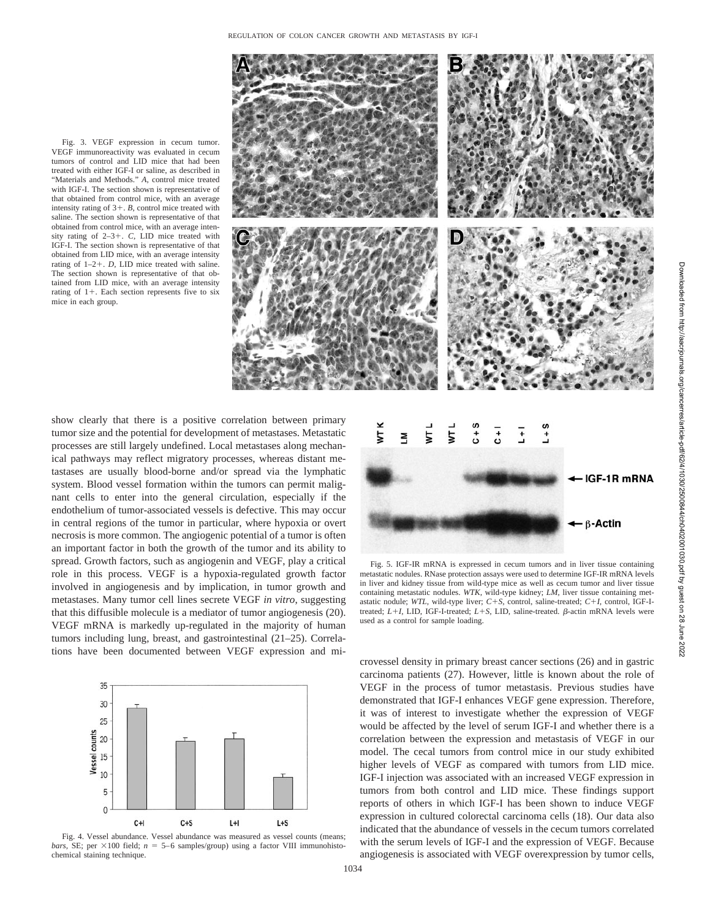Fig. 3. VEGF expression in cecum tumor. VEGF immunoreactivity was evaluated in cecum tumors of control and LID mice that had been treated with either IGF-I or saline, as described in "Materials and Methods." *A,* control mice treated with IGF-I. The section shown is representative of that obtained from control mice, with an average intensity rating of  $3+$ . *B*, control mice treated with saline. The section shown is representative of that obtained from control mice, with an average intensity rating of 2–3-. *C,* LID mice treated with IGF-I. The section shown is representative of that obtained from LID mice, with an average intensity rating of  $1-2+$ . *D*, LID mice treated with saline. The section shown is representative of that obtained from LID mice, with an average intensity rating of  $1+$ . Each section represents five to six mice in each group.



show clearly that there is a positive correlation between primary tumor size and the potential for development of metastases. Metastatic processes are still largely undefined. Local metastases along mechanical pathways may reflect migratory processes, whereas distant metastases are usually blood-borne and/or spread via the lymphatic system. Blood vessel formation within the tumors can permit malignant cells to enter into the general circulation, especially if the endothelium of tumor-associated vessels is defective. This may occur in central regions of the tumor in particular, where hypoxia or overt necrosis is more common. The angiogenic potential of a tumor is often an important factor in both the growth of the tumor and its ability to spread. Growth factors, such as angiogenin and VEGF, play a critical role in this process. VEGF is a hypoxia-regulated growth factor involved in angiogenesis and by implication, in tumor growth and metastases. Many tumor cell lines secrete VEGF *in vitro*, suggesting that this diffusible molecule is a mediator of tumor angiogenesis (20). VEGF mRNA is markedly up-regulated in the majority of human tumors including lung, breast, and gastrointestinal (21–25). Correlations have been documented between VEGF expression and mi-







Fig. 5. IGF-IR mRNA is expressed in cecum tumors and in liver tissue containing metastatic nodules. RNase protection assays were used to determine IGF-IR mRNA levels in liver and kidney tissue from wild-type mice as well as cecum tumor and liver tissue containing metastatic nodules. *WTK,* wild-type kidney; *LM,* liver tissue containing metastatic nodule; *WTL,* wild-type liver; *C*-*S,* control, saline-treated; *C*-*I,* control, IGF-Itreated;  $L+I$ , LID, IGF-I-treated;  $L+S$ , LID, saline-treated.  $\beta$ -actin mRNA levels were used as a control for sample loading.

crovessel density in primary breast cancer sections (26) and in gastric carcinoma patients (27). However, little is known about the role of VEGF in the process of tumor metastasis. Previous studies have demonstrated that IGF-I enhances VEGF gene expression. Therefore, it was of interest to investigate whether the expression of VEGF would be affected by the level of serum IGF-I and whether there is a correlation between the expression and metastasis of VEGF in our model. The cecal tumors from control mice in our study exhibited higher levels of VEGF as compared with tumors from LID mice. IGF-I injection was associated with an increased VEGF expression in tumors from both control and LID mice. These findings support reports of others in which IGF-I has been shown to induce VEGF expression in cultured colorectal carcinoma cells (18). Our data also indicated that the abundance of vessels in the cecum tumors correlated with the serum levels of IGF-I and the expression of VEGF. Because angiogenesis is associated with VEGF overexpression by tumor cells,